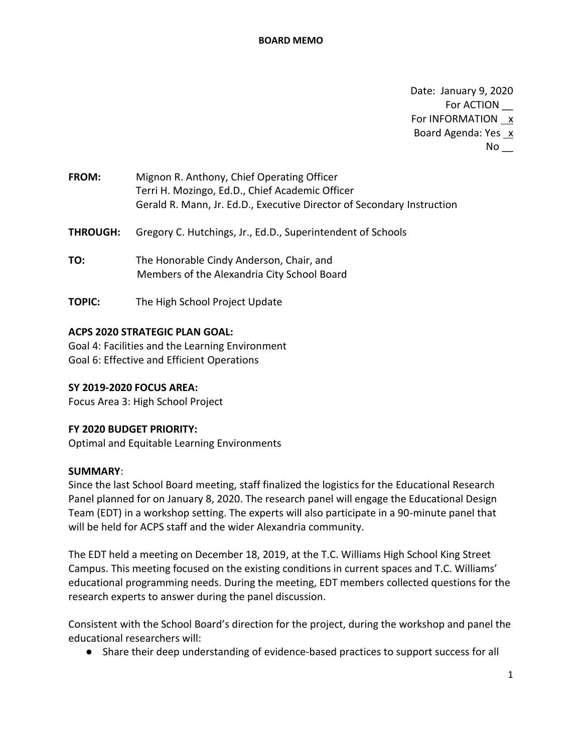Date: January 9, 2020 For ACTION \_\_ For INFORMATION  $x$ Board Agenda: Yes x  $No$ 

| <b>FROM:</b> | Mignon R. Anthony, Chief Operating Officer                             |
|--------------|------------------------------------------------------------------------|
|              | Terri H. Mozingo, Ed.D., Chief Academic Officer                        |
|              | Gerald R. Mann, Jr. Ed.D., Executive Director of Secondary Instruction |

**THROUGH:** Gregory C. Hutchings, Jr., Ed.D., Superintendent of Schools

- **TO:** The Honorable Cindy Anderson, Chair, and Members of the Alexandria City School Board
- **TOPIC:** The High School Project Update

### **ACPS 2020 STRATEGIC PLAN GOAL:**

Goal 4: Facilities and the Learning Environment Goal 6: Effective and Efficient Operations

### **SY 2019-2020 FOCUS AREA:**

Focus Area 3: High School Project

### **FY 2020 BUDGET PRIORITY:**

Optimal and Equitable Learning Environments

### **SUMMARY**:

Since the last School Board meeting, staff finalized the logistics for the Educational Research Panel planned for on January 8, 2020. The research panel will engage the Educational Design Team (EDT) in a workshop setting. The experts will also participate in a 90-minute panel that will be held for ACPS staff and the wider Alexandria community.

The EDT held a meeting on December 18, 2019, at the T.C. Williams High School King Street Campus. This meeting focused on the existing conditions in current spaces and T.C. Williams' educational programming needs. During the meeting, EDT members collected questions for the research experts to answer during the panel discussion.

Consistent with the School Board's direction for the project, during the workshop and panel the educational researchers will:

● Share their deep understanding of evidence-based practices to support success for all